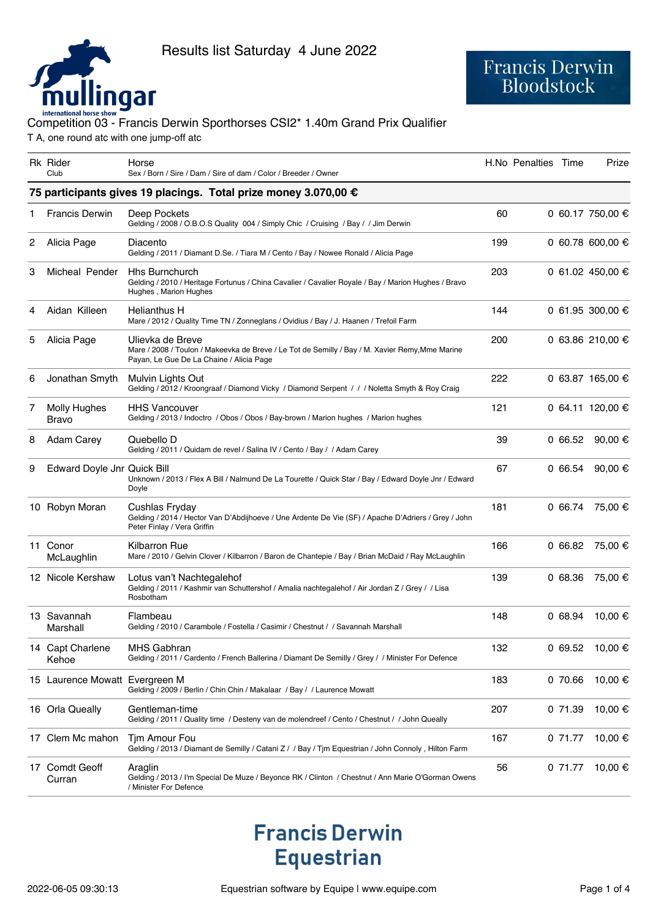

# Francis Derwin<br>Bloodstock

### international horse show<br>Competition 03 - Francis Derwin Sporthorses CSI2\* 1.40m Grand Prix Qualifier T A, one round atc with one jump-off atc

|   | <b>Rk</b> Rider<br>Club                                         | Horse<br>Sex / Born / Sire / Dam / Sire of dam / Color / Breeder / Owner                                                                                        |     | H.No Penalties Time |         | Prize            |  |  |  |
|---|-----------------------------------------------------------------|-----------------------------------------------------------------------------------------------------------------------------------------------------------------|-----|---------------------|---------|------------------|--|--|--|
|   | 75 participants gives 19 placings. Total prize money 3.070,00 € |                                                                                                                                                                 |     |                     |         |                  |  |  |  |
|   | <b>Francis Derwin</b>                                           | Deep Pockets<br>Gelding / 2008 / O.B.O.S Quality 004 / Simply Chic / Cruising / Bay / / Jim Derwin                                                              | 60  |                     |         | 0 60.17 750,00 € |  |  |  |
| 2 | Alicia Page                                                     | Diacento<br>Gelding / 2011 / Diamant D.Se. / Tiara M / Cento / Bay / Nowee Ronald / Alicia Page                                                                 | 199 |                     |         | 0 60.78 600,00 € |  |  |  |
| 3 | Micheal Pender                                                  | <b>Hhs Burnchurch</b><br>Gelding / 2010 / Heritage Fortunus / China Cavalier / Cavalier Royale / Bay / Marion Hughes / Bravo<br>Hughes, Marion Hughes           | 203 |                     |         | 0 61.02 450,00 € |  |  |  |
| 4 | Aidan Killeen                                                   | <b>Helianthus H</b><br>Mare / 2012 / Quality Time TN / Zonneglans / Ovidius / Bay / J. Haanen / Trefoil Farm                                                    | 144 |                     |         | 0 61.95 300,00 € |  |  |  |
| 5 | Alicia Page                                                     | Ulievka de Breve<br>Mare / 2008 / Toulon / Makeevka de Breve / Le Tot de Semilly / Bay / M. Xavier Remy, Mme Marine<br>Payan, Le Gue De La Chaine / Alicia Page | 200 |                     |         | 0 63.86 210,00 € |  |  |  |
| 6 | Jonathan Smyth                                                  | Mulvin Lights Out<br>Gelding / 2012 / Kroongraaf / Diamond Vicky / Diamond Serpent / / / Noletta Smyth & Roy Craig                                              | 222 |                     |         | 0 63.87 165,00 € |  |  |  |
| 7 | <b>Molly Hughes</b><br>Bravo                                    | <b>HHS Vancouver</b><br>Gelding / 2013 / Indoctro / Obos / Obos / Bay-brown / Marion hughes / Marion hughes                                                     | 121 |                     |         | 0 64.11 120,00 € |  |  |  |
| 8 | Adam Carey                                                      | Quebello D<br>Gelding / 2011 / Quidam de revel / Salina IV / Cento / Bay / / Adam Carey                                                                         | 39  |                     | 0 66.52 | 90,00 $\oplus$   |  |  |  |
| 9 | Edward Doyle Jnr Quick Bill                                     | Unknown / 2013 / Flex A Bill / Nalmund De La Tourette / Quick Star / Bay / Edward Doyle Jnr / Edward<br>Doyle                                                   | 67  |                     | 066.54  | 90,00 €          |  |  |  |
|   | 10 Robyn Moran                                                  | Cushlas Fryday<br>Gelding / 2014 / Hector Van D'Abdijhoeve / Une Ardente De Vie (SF) / Apache D'Adriers / Grey / John<br>Peter Finlay / Vera Griffin            | 181 |                     | 0 66.74 | 75,00 €          |  |  |  |
|   | 11 Conor<br>McLaughlin                                          | <b>Kilbarron Rue</b><br>Mare / 2010 / Gelvin Clover / Kilbarron / Baron de Chantepie / Bay / Brian McDaid / Ray McLaughlin                                      | 166 |                     | 066.82  | 75,00 €          |  |  |  |
|   | 12 Nicole Kershaw                                               | Lotus van't Nachtegalehof<br>Gelding / 2011 / Kashmir van Schuttershof / Amalia nachtegalehof / Air Jordan Z / Grey / / Lisa<br>Rosbotham                       | 139 |                     | 0 68.36 | 75,00 €          |  |  |  |
|   | 13 Savannah<br>Marshall                                         | Flambeau<br>Gelding / 2010 / Carambole / Fostella / Casimir / Chestnut / / Savannah Marshall                                                                    | 148 |                     | 068.94  | 10,00 €          |  |  |  |
|   | 14 Capt Charlene<br>Kehoe                                       | MHS Gabhran<br>Gelding / 2011 / Cardento / French Ballerina / Diamant De Semilly / Grey / / Minister For Defence                                                | 132 |                     |         | 0 69.52 10,00 €  |  |  |  |
|   | 15 Laurence Mowatt Evergreen M                                  | Gelding / 2009 / Berlin / Chin Chin / Makalaar / Bay / / Laurence Mowatt                                                                                        | 183 |                     | 0 70.66 | 10,00 €          |  |  |  |
|   | 16 Orla Queally                                                 | Gentleman-time<br>Gelding / 2011 / Quality time / Desteny van de molendreef / Cento / Chestnut / / John Queally                                                 | 207 |                     | 0 71.39 | 10,00 €          |  |  |  |
|   | 17 Clem Mc mahon                                                | Tim Amour Fou<br>Gelding / 2013 / Diamant de Semilly / Catani Z / / Bay / Tim Equestrian / John Connoly, Hilton Farm                                            | 167 |                     | 0 71.77 | 10,00 €          |  |  |  |
|   | 17 Comdt Geoff<br>Curran                                        | Araglin<br>Gelding / 2013 / I'm Special De Muze / Beyonce RK / Clinton / Chestnut / Ann Marie O'Gorman Owens<br>/ Minister For Defence                          | 56  |                     | 0 71.77 | 10,00 €          |  |  |  |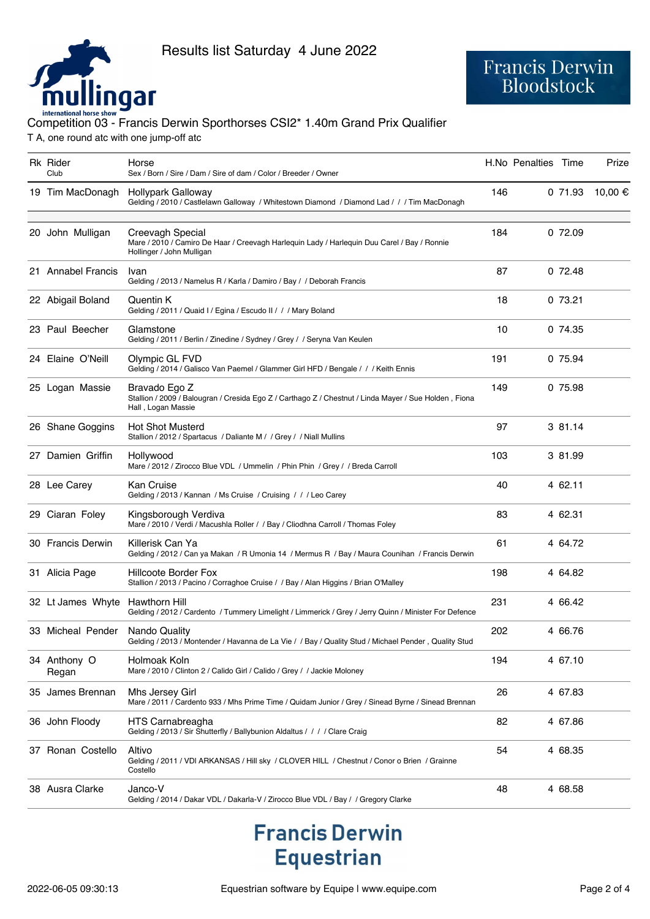

### international horse show<br>Competition 03 - Francis Derwin Sporthorses CSI2\* 1.40m Grand Prix Qualifier T A, one round atc with one jump-off atc

| <b>Rk Rider</b><br>Club | Horse<br>Sex / Born / Sire / Dam / Sire of dam / Color / Breeder / Owner                                                                     |     | H.No Penalties Time |         | Prize   |
|-------------------------|----------------------------------------------------------------------------------------------------------------------------------------------|-----|---------------------|---------|---------|
| 19 Tim MacDonagh        | Hollypark Galloway<br>Gelding / 2010 / Castlelawn Galloway / Whitestown Diamond / Diamond Lad / / / Tim MacDonagh                            | 146 |                     | 071.93  | 10,00 € |
| 20 John Mulligan        | Creevagh Special<br>Mare / 2010 / Camiro De Haar / Creevagh Harlequin Lady / Harlequin Duu Carel / Bay / Ronnie<br>Hollinger / John Mulligan | 184 |                     | 0 72.09 |         |
| 21 Annabel Francis      | Ivan<br>Gelding / 2013 / Namelus R / Karla / Damiro / Bay / / Deborah Francis                                                                | 87  |                     | 072.48  |         |
| 22 Abigail Boland       | Quentin K<br>Gelding / 2011 / Quaid I / Egina / Escudo II / / / Mary Boland                                                                  | 18  |                     | 073.21  |         |
| 23 Paul Beecher         | Glamstone<br>Gelding / 2011 / Berlin / Zinedine / Sydney / Grey / / Seryna Van Keulen                                                        | 10  |                     | 0 74.35 |         |
| 24 Elaine O'Neill       | Olympic GL FVD<br>Gelding / 2014 / Galisco Van Paemel / Glammer Girl HFD / Bengale / / / Keith Ennis                                         | 191 |                     | 0 75.94 |         |
| 25 Logan Massie         | Bravado Ego Z<br>Stallion / 2009 / Balougran / Cresida Ego Z / Carthago Z / Chestnut / Linda Mayer / Sue Holden, Fiona<br>Hall, Logan Massie | 149 |                     | 0 75.98 |         |
| 26 Shane Goggins        | <b>Hot Shot Musterd</b><br>Stallion / 2012 / Spartacus / Daliante M / / Grey / / Niall Mullins                                               | 97  |                     | 3 81.14 |         |
| 27 Damien Griffin       | Hollywood<br>Mare / 2012 / Zirocco Blue VDL / Ummelin / Phin Phin / Grey / / Breda Carroll                                                   | 103 |                     | 3 81.99 |         |
| 28 Lee Carey            | Kan Cruise<br>Gelding / 2013 / Kannan / Ms Cruise / Cruising / / / Leo Carey                                                                 | 40  |                     | 4 62.11 |         |
| 29 Ciaran Foley         | Kingsborough Verdiva<br>Mare / 2010 / Verdi / Macushla Roller / / Bay / Cliodhna Carroll / Thomas Foley                                      | 83  |                     | 4 62.31 |         |
| 30 Francis Derwin       | Killerisk Can Ya<br>Gelding / 2012 / Can ya Makan / R Umonia 14 / Mermus R / Bay / Maura Counihan / Francis Derwin                           | 61  |                     | 4 64.72 |         |
| 31 Alicia Page          | <b>Hillcoote Border Fox</b><br>Stallion / 2013 / Pacino / Corraghoe Cruise / / Bay / Alan Higgins / Brian O'Malley                           | 198 |                     | 4 64.82 |         |
| 32 Lt James Whyte       | Hawthorn Hill<br>Gelding / 2012 / Cardento / Tummery Limelight / Limmerick / Grey / Jerry Quinn / Minister For Defence                       | 231 |                     | 4 66.42 |         |
| 33 Micheal Pender       | <b>Nando Quality</b><br>Gelding / 2013 / Montender / Havanna de La Vie / / Bay / Quality Stud / Michael Pender, Quality Stud                 | 202 |                     | 4 66.76 |         |
| 34 Anthony O<br>Regan   | Holmoak Koln<br>Mare / 2010 / Clinton 2 / Calido Girl / Calido / Grey / / Jackie Moloney                                                     | 194 |                     | 4 67.10 |         |
| 35 James Brennan        | Mhs Jersey Girl<br>Mare / 2011 / Cardento 933 / Mhs Prime Time / Quidam Junior / Grey / Sinead Byrne / Sinead Brennan                        | 26  |                     | 4 67.83 |         |
| 36 John Floody          | <b>HTS Carnabreagha</b><br>Gelding / 2013 / Sir Shutterfly / Ballybunion Aldaltus / / / / Clare Craig                                        | 82  |                     | 4 67.86 |         |
| 37 Ronan Costello       | Altivo<br>Gelding / 2011 / VDI ARKANSAS / Hill sky / CLOVER HILL / Chestnut / Conor o Brien / Grainne<br>Costello                            | 54  |                     | 4 68.35 |         |
| 38 Ausra Clarke         | Janco-V<br>Gelding / 2014 / Dakar VDL / Dakarla-V / Zirocco Blue VDL / Bay / / Gregory Clarke                                                | 48  |                     | 4 68.58 |         |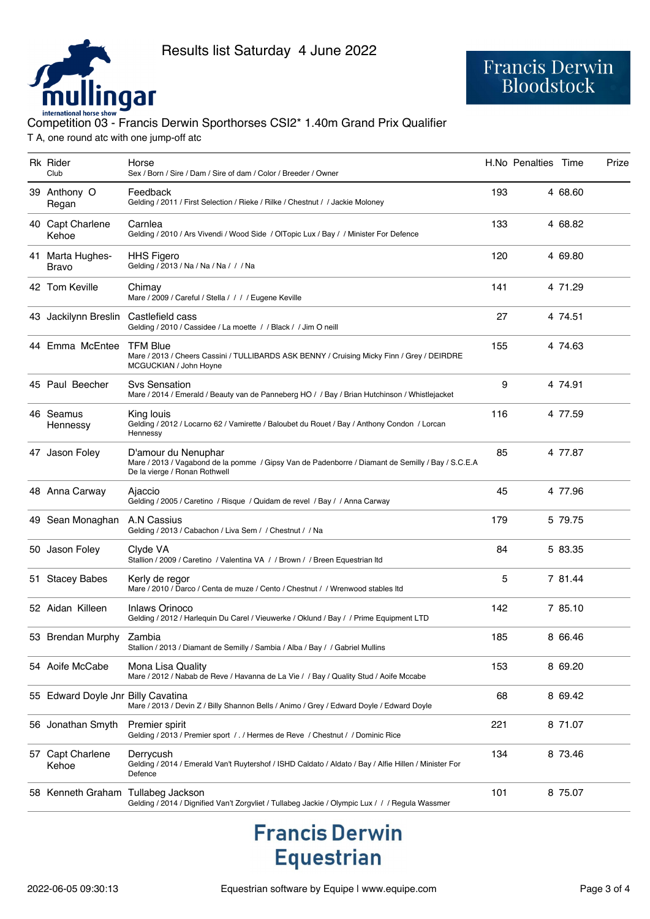

### international horse show<br>Competition 03 - Francis Derwin Sporthorses CSI2\* 1.40m Grand Prix Qualifier T A, one round atc with one jump-off atc

| Rk Rider<br>Club                   | Horse<br>Sex / Born / Sire / Dam / Sire of dam / Color / Breeder / Owner                                                                                  |     | H.No Penalties Time |         | Prize |
|------------------------------------|-----------------------------------------------------------------------------------------------------------------------------------------------------------|-----|---------------------|---------|-------|
| 39 Anthony O<br>Regan              | Feedback<br>Gelding / 2011 / First Selection / Rieke / Rilke / Chestnut / / Jackie Moloney                                                                | 193 |                     | 4 68.60 |       |
| 40 Capt Charlene<br>Kehoe          | Carnlea<br>Gelding / 2010 / Ars Vivendi / Wood Side / OlTopic Lux / Bay / / Minister For Defence                                                          | 133 |                     | 4 68.82 |       |
| 41 Marta Hughes-<br>Bravo          | <b>HHS Figero</b><br>Gelding / 2013 / Na / Na / Na / / / Na                                                                                               | 120 |                     | 4 69.80 |       |
| 42 Tom Keville                     | Chimav<br>Mare / 2009 / Careful / Stella / / / / Eugene Keville                                                                                           | 141 |                     | 4 71.29 |       |
| 43 Jackilynn Breslin               | Castlefield cass<br>Gelding / 2010 / Cassidee / La moette / / Black / / Jim O neill                                                                       | 27  |                     | 4 74.51 |       |
| 44 Emma McEntee                    | <b>TFM Blue</b><br>Mare / 2013 / Cheers Cassini / TULLIBARDS ASK BENNY / Cruising Micky Finn / Grey / DEIRDRE<br>MCGUCKIAN / John Hoyne                   | 155 |                     | 4 74.63 |       |
| 45 Paul Beecher                    | <b>Svs Sensation</b><br>Mare / 2014 / Emerald / Beauty van de Panneberg HO / / Bay / Brian Hutchinson / Whistlejacket                                     | 9   |                     | 4 74.91 |       |
| 46 Seamus<br>Hennessy              | King louis<br>Gelding / 2012 / Locarno 62 / Vamirette / Baloubet du Rouet / Bay / Anthony Condon / Lorcan<br>Hennessy                                     | 116 |                     | 4 77.59 |       |
| 47 Jason Foley                     | D'amour du Nenuphar<br>Mare / 2013 / Vagabond de la pomme / Gipsy Van de Padenborre / Diamant de Semilly / Bay / S.C.E.A<br>De la vierge / Ronan Rothwell | 85  |                     | 4 77.87 |       |
| 48 Anna Carway                     | Ajaccio<br>Gelding / 2005 / Caretino / Risque / Quidam de revel / Bay / / Anna Carway                                                                     | 45  |                     | 4 77.96 |       |
| 49 Sean Monaghan                   | A.N Cassius<br>Gelding / 2013 / Cabachon / Liva Sem / / Chestnut / / Na                                                                                   | 179 |                     | 5 79.75 |       |
| 50 Jason Foley                     | Clyde VA<br>Stallion / 2009 / Caretino / Valentina VA / / Brown / / Breen Equestrian Itd                                                                  | 84  |                     | 5 83.35 |       |
| 51 Stacey Babes                    | Kerly de regor<br>Mare / 2010 / Darco / Centa de muze / Cento / Chestnut / / Wrenwood stables ltd                                                         | 5   |                     | 7 81.44 |       |
| 52 Aidan Killeen                   | Inlaws Orinoco<br>Gelding / 2012 / Harlequin Du Carel / Vieuwerke / Oklund / Bay / / Prime Equipment LTD                                                  | 142 |                     | 7 85.10 |       |
| 53 Brendan Murphy Zambia           | Stallion / 2013 / Diamant de Semilly / Sambia / Alba / Bay / / Gabriel Mullins                                                                            | 185 |                     | 8 66.46 |       |
| 54 Aoife McCabe                    | Mona Lisa Quality<br>Mare / 2012 / Nabab de Reve / Havanna de La Vie / / Bay / Quality Stud / Aoife Mccabe                                                | 153 |                     | 8 69.20 |       |
| 55 Edward Doyle Jnr Billy Cavatina | Mare / 2013 / Devin Z / Billy Shannon Bells / Animo / Grey / Edward Doyle / Edward Doyle                                                                  | 68  |                     | 8 69.42 |       |
| 56 Jonathan Smyth                  | Premier spirit<br>Gelding / 2013 / Premier sport / . / Hermes de Reve / Chestnut / / Dominic Rice                                                         | 221 |                     | 8 71.07 |       |
| 57 Capt Charlene<br>Kehoe          | Derrycush<br>Gelding / 2014 / Emerald Van't Ruytershof / ISHD Caldato / Aldato / Bay / Alfie Hillen / Minister For<br>Defence                             | 134 |                     | 8 73.46 |       |
| 58 Kenneth Graham Tullabeg Jackson | Gelding / 2014 / Dignified Van't Zorgvliet / Tullabeg Jackie / Olympic Lux / / / Regula Wassmer                                                           | 101 |                     | 8 75.07 |       |